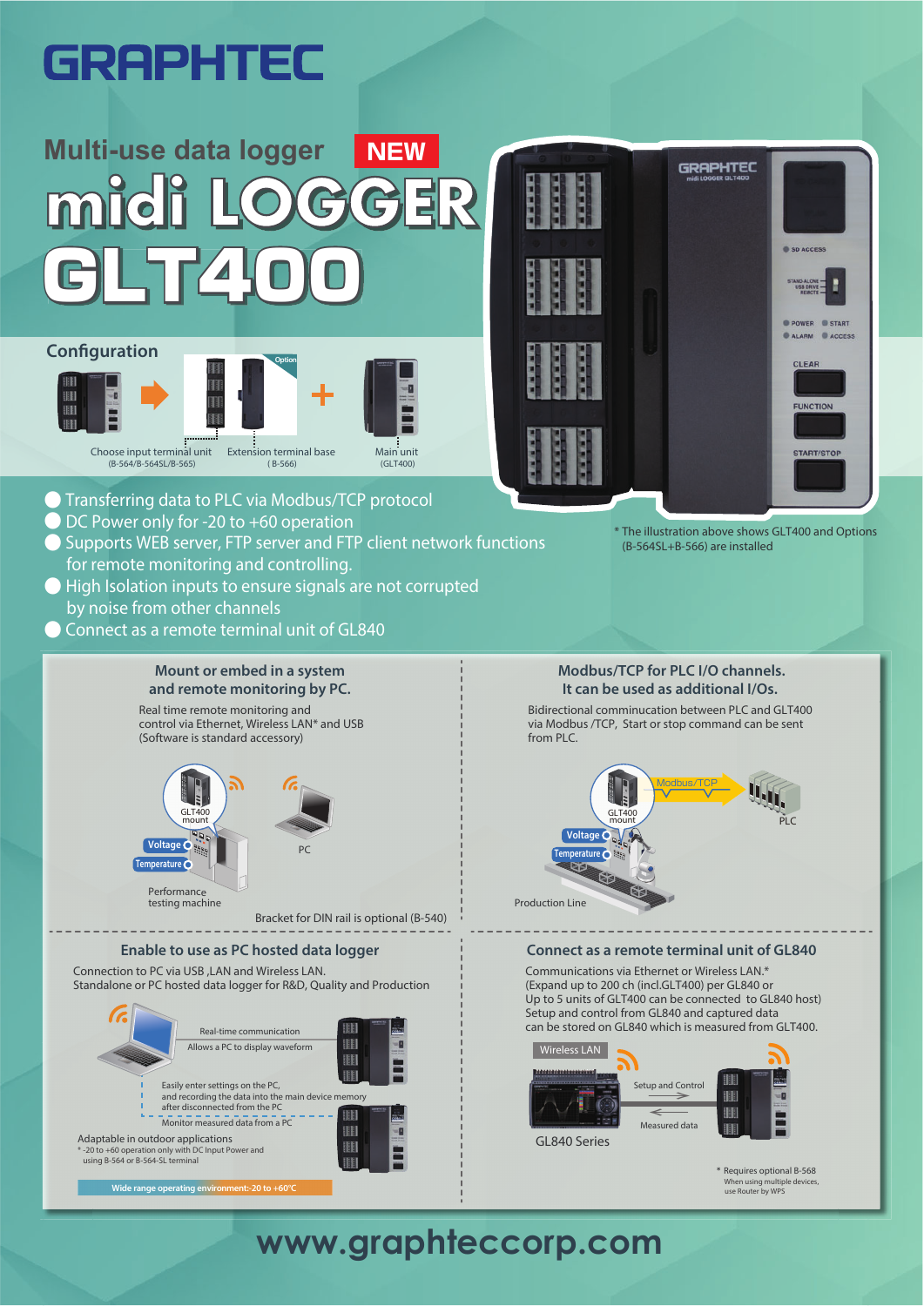# **GRAPHTEC**

# **Multi-use data logger NEW** mid GLT400

#### **Configuration**



- Transferring data to PLC via Modbus/TCP protocol
- DC Power only for -20 to  $+60$  operation
- **Supports WEB server, FTP server and FTP client network functions** for remote monitoring and controlling.
- High Isolation inputs to ensure signals are not corrupted by noise from other channels
- Connect as a remote terminal unit of GL840

**Wide range operating environment:-20 to +60°C** 

# GRAPHTEC SD ACCESS POWER START CALARM CACCESS CLEAR START/STO

\* The illustration above shows GLT400 and Options (B-564SL+B-566) are installed



\* Requires optional B-568 When using multiple devices, use Router by WPS

a

PLC

## **www.graphteccorp.com**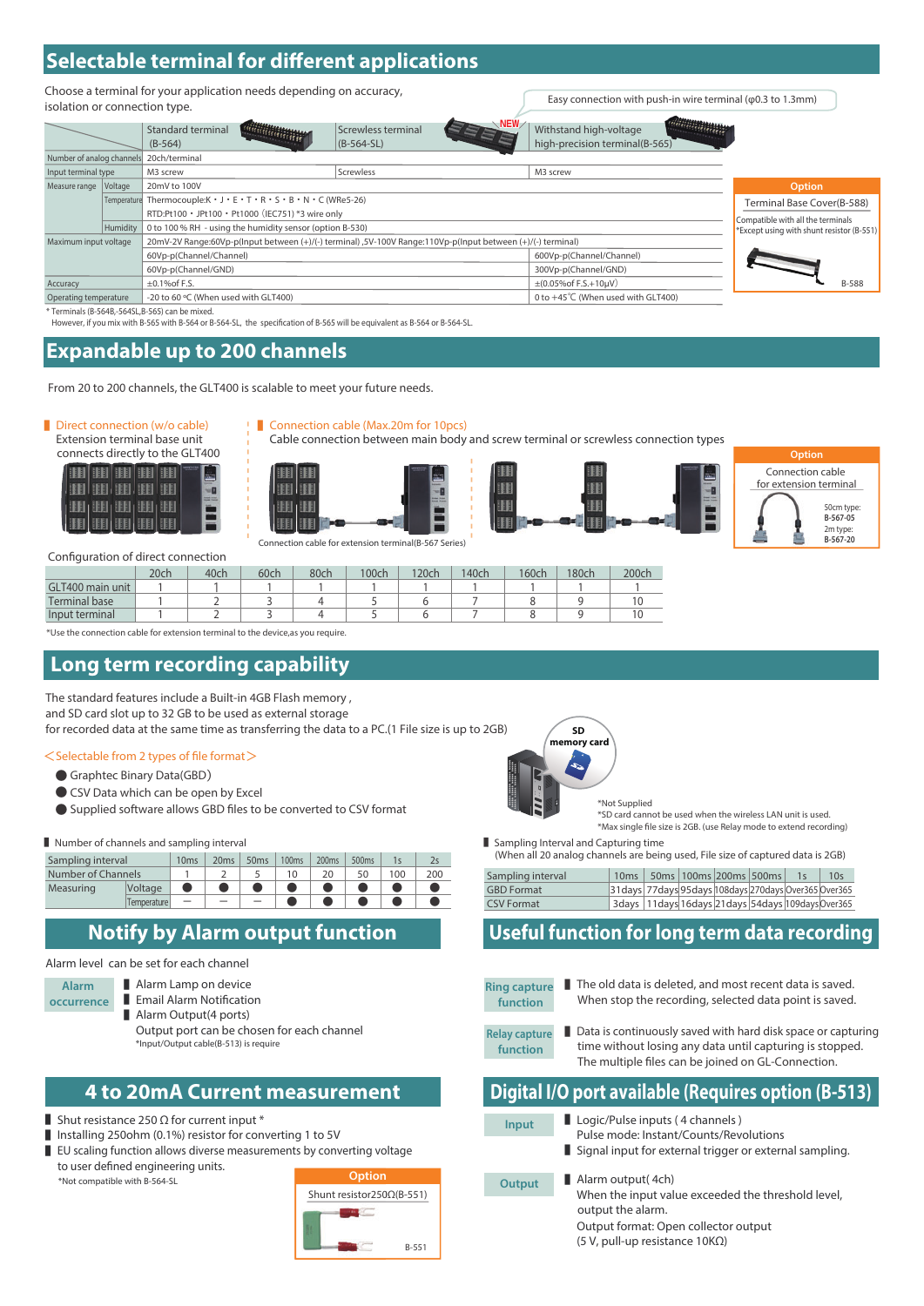### **Selectable terminal for different applications**

Choose a terminal for your application needs depending on accuracy, isolation or connection type.

|                           |          | Standard terminal<br>$(B-564)$                                                                              | NEW<br>Screwless terminal<br>$(B-564-SL)$ | Withstand high-voltage<br>high-precision terminal(B-565) |                                           |
|---------------------------|----------|-------------------------------------------------------------------------------------------------------------|-------------------------------------------|----------------------------------------------------------|-------------------------------------------|
| Number of analog channels |          | 20ch/terminal                                                                                               |                                           |                                                          |                                           |
| Input terminal type       |          | M3 screw                                                                                                    | Screwless                                 | M3 screw                                                 |                                           |
| Measure range             | Voltage  | 20mV to 100V                                                                                                |                                           | Option                                                   |                                           |
|                           |          | Temperature Thermocouple: $K \cdot J \cdot E \cdot T \cdot R \cdot S \cdot B \cdot N \cdot C$ (WRe5-26)     | Terminal Base Cover(B-588)                |                                                          |                                           |
|                           |          | RTD:Pt100 · JPt100 · Pt1000 (IEC751) *3 wire only                                                           |                                           |                                                          | Compatible with all the terminals         |
|                           | Humidity | 0 to 100 % RH - using the humidity sensor (option B-530)                                                    |                                           |                                                          | *Except using with shunt resistor (B-551) |
| Maximum input voltage     |          | 20mV-2V Range:60Vp-p(Input between (+)/(-) terminal) ,5V-100V Range:110Vp-p(Input between (+)/(-) terminal) |                                           |                                                          |                                           |
|                           |          | 60Vp-p(Channel/Channel)                                                                                     |                                           | 600Vp-p(Channel/Channel)                                 |                                           |
|                           |          | 60Vp-p(Channel/GND)                                                                                         |                                           | 300Vp-p(Channel/GND)                                     |                                           |
| Accuracy                  |          | $\pm$ 0.1% of F.S.                                                                                          |                                           | $\pm (0.05\% \text{ of } F.S.+10 \mu V)$                 | B-588                                     |
| Operating temperature     |          | -20 to 60 °C (When used with GLT400)                                                                        |                                           | 0 to +45°C (When used with GLT400)                       |                                           |

\* Terminals (B-564B,-564SL,B-565) can be mixed.

However, if you mix with B-565 with B-564 or B-564-SL, the specification of B-565 will be equivalent as B-564 or B-564-SL.

#### **Expandable up to 200 channels**

From 20 to 200 channels, the GLT400 is scalable to meet your future needs.

#### ■ Direct connection (w/o cable)

Extension terminal base unit<br>connects directly to the GLT4

|  |  | connects directly to the GLT400 |  |
|--|--|---------------------------------|--|
|  |  |                                 |  |
|  |  |                                 |  |
|  |  |                                 |  |
|  |  |                                 |  |







Connection cable for extension terminal(B-567 Series)

■ Connection cable (Max.20m for 10pcs)



- 0

Easy connection with push-in wire terminal (φ0.3 to 1.3mm)



| Configuration of direct connection |
|------------------------------------|
|------------------------------------|

|                      | 20ch | 40ch | 60ch | 80ch | 100ch | 120ch | 140ch | 160 <sub>ch</sub> | 180ch | 200ch |
|----------------------|------|------|------|------|-------|-------|-------|-------------------|-------|-------|
| GLT400 main unit     |      |      |      |      |       |       |       |                   |       |       |
| <b>Terminal base</b> |      |      |      |      |       |       |       |                   |       |       |
| Input terminal       |      |      |      |      |       |       |       |                   |       |       |

\*Use the connection cable for extension terminal to the device,as you require.

#### **Long term recording capability**

The standard features include a Built-in 4GB Flash memory , and SD card slot up to 32 GB to be used as external storage

for recorded data at the same time as transferring the data to a PC.(1 File size is up to 2GB)

#### <Selectable from 2 types of file format>

- Graphtec Binary Data(GBD)
- CSV Data which can be open by Excel
- Supplied software allows GBD files to be converted to CSV format

#### ■ Number of channels and sampling interval ■ Sampling Interval and Capturing time

| Sampling interval  | 10 <sub>ms</sub> | 20ms | 50ms | 100 <sub>ms</sub> | 200 <sub>ms</sub> | 500ms |    |     |  |
|--------------------|------------------|------|------|-------------------|-------------------|-------|----|-----|--|
| Number of Channels |                  |      |      |                   |                   |       | 00 | 200 |  |
| Measuring          | Voltage          |      |      |                   |                   |       |    |     |  |
|                    | Temperature      | _    |      |                   |                   |       |    |     |  |

#### **Notify by Alarm output function**

#### Alarm level can be set for each channel

**Alarm** 

- Alarm Lamp on device
- **occurrence** ■ Email Alarm Notification
	- Alarm Output(4 ports)
		- Output port can be chosen for each channel \*Input/Output cable(B-513) is require

- Shut resistance 250 Ω for current input  $*$
- Installing 250ohm (0.1%) resistor for converting 1 to 5V
- EU scaling function allows diverse measurements by converting voltage to user defined engineering units.
- \*Not compatible with B-564-SL





\*Not Supplied \*SD card cannot be used when the wireless LAN unit is used. \*Max single file size is 2GB. (use Relay mode to extend recording)

(When all 20 analog channels are being used, File size of captured data is 2GB)

| Sampling interval | 10ms                                                        | 50ms   100ms   200ms   500ms                                |  | 10s |
|-------------------|-------------------------------------------------------------|-------------------------------------------------------------|--|-----|
| <b>GBD</b> Format | 31 days 77 days 95 days 108 days 270 days Over 365 Over 365 |                                                             |  |     |
| <b>CSV Format</b> |                                                             | 3 days   11 days 16 days 21 days 54 days 109 days 0 ver 365 |  |     |

#### **Useful function for long term data recording**

- **Ring capture function** ■ The old data is deleted, and most recent data is saved. When stop the recording, selected data point is saved.
- **Relay capture function** ■ Data is continuously saved with hard disk space or capturing time without losing any data until capturing is stopped. The multiple files can be joined on GL-Connection.

#### **4 to 20mA Current measurement Digital I/O port available (Requires option (B-513)**

| Input  | Logic/Pulse inputs (4 channels)<br>Pulse mode: Instant/Counts/Revolutions                                                                                                                     |
|--------|-----------------------------------------------------------------------------------------------------------------------------------------------------------------------------------------------|
|        | Signal input for external trigger or external sampling.                                                                                                                                       |
| Output | $\blacksquare$ Alarm output(4ch)<br>When the input value exceeded the threshold level,<br>output the alarm.<br>Output format: Open collector output<br>(5 V, pull-up resistance $10K\Omega$ ) |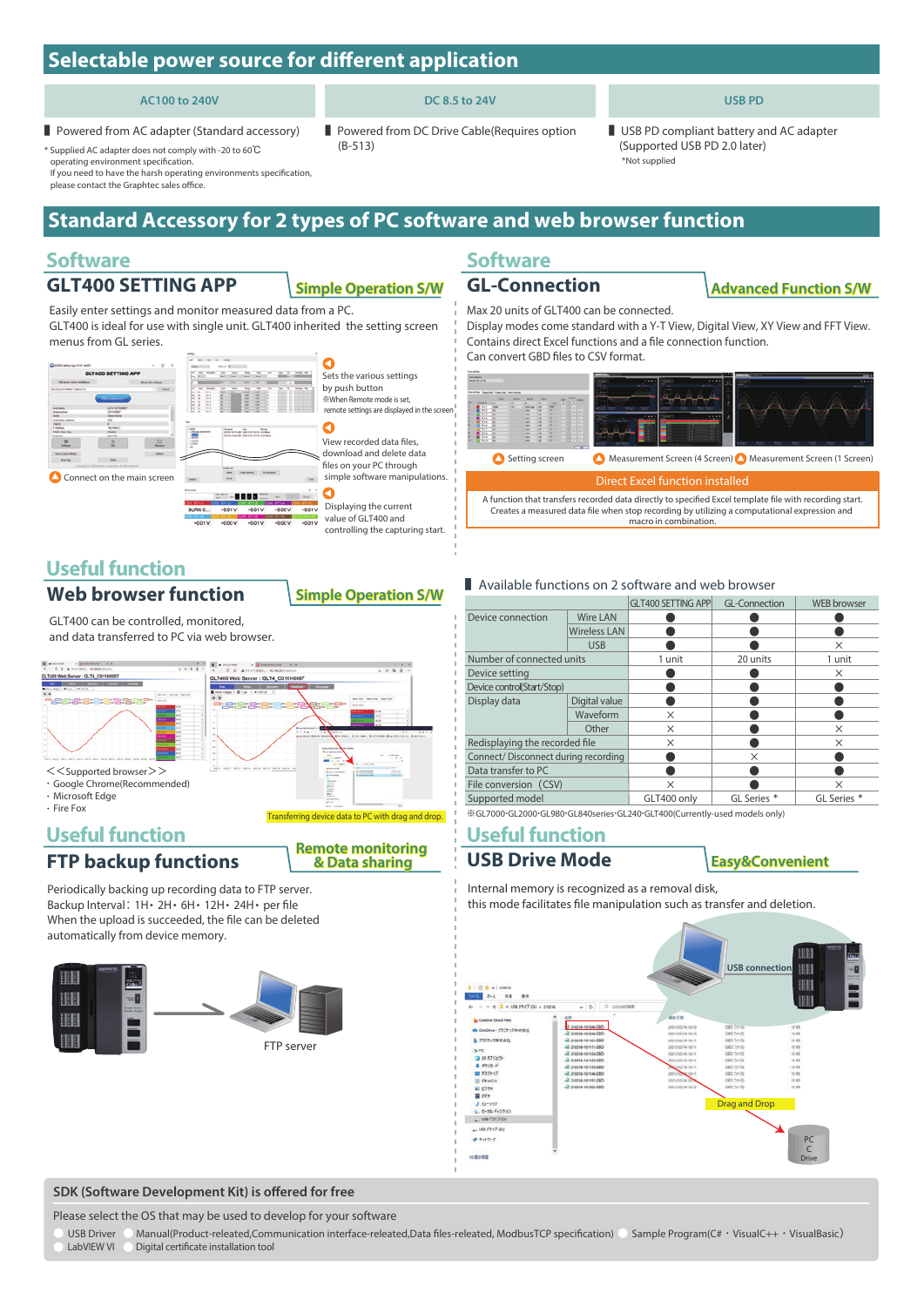## **Selectable power source for different application**

#### **AC100 to 240V**

**DC 8.5 to 24V** ■ Powered from DC Drive Cable(Requires option

■ Powered from AC adapter (Standard accessory) (Supported USB PD 2.0 later) \* Supplied AC adapter does not comply with -20 to 60℃

operating environment specification.

If you need to have the harsh operating environments specification please contact the Graphtec sales office.

## **Standard Accessory for 2 types of PC software and web browser function**

### **Software**

### **GLT400 SETTING APP Simple Operation S/W**

(B-513)

Easily enter settings and monitor measured data from a PC. GLT400 is ideal for use with single unit. GLT400 inherited the setting screen menus from GL series.



Ò Sets the various settings by push button ※When Remote mode is set, remote settings are displayed in the scre

View recorded data files, download and delete data files on your PC through simple software manipulations.

Displaying the current value of GLT400 and controlling the capturing start.

**Remote monitoring & Data sharing**

### **Useful function**

**Web browser function Simple Operation S/W**

GLT400 can be controlled, monitored, and data transferred to PC via web browser.

| a 19 company's study of the first<br><b>A STORAGE</b><br>9.098       | a 19th remains around player<br>$-4.14$<br><b>B</b> STORMS |                                                                         |
|----------------------------------------------------------------------|------------------------------------------------------------|-------------------------------------------------------------------------|
| EXCIT (\$31), 1 NC 48201104511                                       | 114 107 (SUES), 1 162 168 235 Libraries                    | 9.8                                                                     |
| LT400 Web Server: GLT4_C011H0007                                     | GLT400 Web Server: GLT4_C011H0007                          |                                                                         |
| the age of the local distance and the age of                         | - <b>1 - - - - -</b>                                       |                                                                         |
| Here there is $\mathfrak{A}$ in the set of                           | have riligible 11 (B) I see 11 (at limit Jo-               |                                                                         |
| Algorithm   Algorithm   Algorithm                                    |                                                            | Alan Salt   Alan Suit   Alan Salt                                       |
| <b>SSSSSEDERS</b><br><b>Bally Car</b>                                | ----------------                                           | $\blacksquare$<br><b>Bank Suit</b>                                      |
|                                                                      | <b>CHO-CHO-CHO-CHO-C</b>                                   | 49.940<br><b>COLLA</b>                                                  |
| in a<br><b>ALCOHOL:</b>                                              |                                                            | and dis-<br>ವಾ                                                          |
| <b>ALC</b>                                                           |                                                            | sit in<br><b>HEAR</b><br>--                                             |
| <b>And</b><br>$- - -$<br><b>ALLES</b><br>                            | <b>Link Chrysler Holler</b><br><b>CANNADIA</b>             | $+ + + +$<br>$-9.4$                                                     |
| <b>COL</b><br>$\overline{\phantom{a}}$<br><b>Hotel</b><br><b>COL</b> | <br>Arrests Inc., Boxer, Boxer                             | A cut was . A consumer Sing A company<br><b>Barnett College College</b> |
| ia m<br><b>PERSONAL</b><br><b>STAR</b>                               | $\sim$                                                     |                                                                         |
| <b>Address</b><br>$-0.00$                                            | $\rightarrow$                                              | <b>Index of Applicable Cap Link Linking</b>                             |
| m<br><b>STATES</b><br><b>Holla</b>                                   | <b>Business Common</b><br>٠<br>A 12 S or want of           | ----<br>.                                                               |
|                                                                      |                                                            | $\overline{a}$<br><b>Contractor</b>                                     |
|                                                                      | a wants to see                                             | $\sim$<br>---<br>a lot over select                                      |
| $<<$ Supported browser $>>$                                          | <b>A Local Antique</b><br><b>A STANDAR</b>                 | a localization and the of-<br>---<br>----                               |
|                                                                      | $-1$<br>a course.<br><b>Alberta</b>                        |                                                                         |
| · Google Chrome(Recommended)                                         | <br>$\sim$                                                 |                                                                         |
|                                                                      | <br>$n =$<br>24.44                                         |                                                                         |
| · Microsoft Edge                                                     | <b>COMMERCIAL</b><br><b>ALLINE</b>                         |                                                                         |
|                                                                      | <b>STATE SHOPPING</b>                                      |                                                                         |
| · Fire Fox                                                           |                                                            |                                                                         |
|                                                                      |                                                            | Transferring device data to PC with drag and drop.                      |

### **Useful function**

### **FTP backup functions**

Periodically backing up recording data to FTP server. Backup Interval:1H・2H・6H・12H・24H・per file When the upload is succeeded, the file can be deleted automatically from device memory.



### **Software**

**GL-Connection Advanced Function S/W**

**USB PD**

USB PD compliant battery and AC adapter<br>(Supported USB PD 2.0 later)

Max 20 units of GLT400 can be connected. Display modes come standard with a Y-T View, Digital View, XY View and FFT View. Contains direct Excel functions and a file connection function. Can convert GBD files to CSV format.

\*Not supplied



A function that transfers recorded data directly to specified Excel template file with recording start. Creates a measured data file when stop recording by utilizing a computational expression and macro in combination.

#### ■ Available functions on 2 software and web browser

|                                     |                     | <b>GLT400 SETTING APP</b> | <b>GL-Connection</b>   | <b>WEB</b> browser |  |  |  |
|-------------------------------------|---------------------|---------------------------|------------------------|--------------------|--|--|--|
| Device connection                   | <b>Wire LAN</b>     |                           |                        |                    |  |  |  |
|                                     | <b>Wireless LAN</b> |                           |                        |                    |  |  |  |
|                                     | <b>USB</b>          |                           |                        | $\times$           |  |  |  |
| Number of connected units           |                     | 1 unit                    | 20 units               | 1 unit             |  |  |  |
| Device setting                      |                     |                           |                        | X                  |  |  |  |
| Device control(Start/Stop)          |                     |                           |                        |                    |  |  |  |
| Display data                        | Digital value       |                           |                        |                    |  |  |  |
|                                     | Waveform            | X                         |                        |                    |  |  |  |
|                                     | Other               | X                         |                        | X                  |  |  |  |
| Redisplaying the recorded file      |                     | X                         |                        | $\times$           |  |  |  |
| Connect/Disconnect during recording |                     |                           | X                      |                    |  |  |  |
| Data transfer to PC                 |                     |                           |                        |                    |  |  |  |
| File conversion (CSV)               |                     | X                         |                        | ×                  |  |  |  |
| Supported model                     |                     | GLT400 only               | GL Series <sup>*</sup> | GL Series *        |  |  |  |
|                                     |                     |                           |                        |                    |  |  |  |

**Easy&Convenient**

※GL7000・GL2000・GL980・GL840series・GL240・GLT400(Currently-used models only)

### **Useful function**

**USB Drive Mode**

Internal memory is recognized as a removal disk,

this mode facilitates file manipulation such as transfer and deletion.



#### **SDK (Software Development Kit) is offered for free**

Please select the OS that may be used to develop for your software

USB Driver © Manual(Product-releated,Communication interface-releated,Data files-releated, ModbusTCP specification) © Sample Program(C# · VisualC++ · VisualBasic) <br>LabVIEW VL © Digital certificate installation tool Digital certificate installation tool